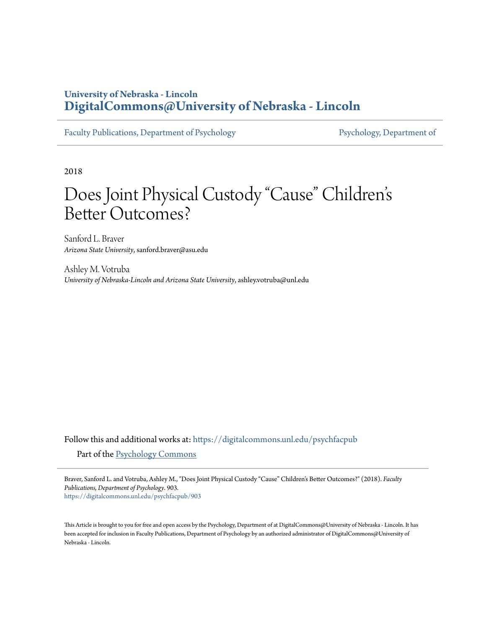# **University of Nebraska - Lincoln [DigitalCommons@University of Nebraska - Lincoln](https://digitalcommons.unl.edu?utm_source=digitalcommons.unl.edu%2Fpsychfacpub%2F903&utm_medium=PDF&utm_campaign=PDFCoverPages)**

[Faculty Publications, Department of Psychology](https://digitalcommons.unl.edu/psychfacpub?utm_source=digitalcommons.unl.edu%2Fpsychfacpub%2F903&utm_medium=PDF&utm_campaign=PDFCoverPages) [Psychology, Department of](https://digitalcommons.unl.edu/psychology?utm_source=digitalcommons.unl.edu%2Fpsychfacpub%2F903&utm_medium=PDF&utm_campaign=PDFCoverPages)

2018

# Does Joint Physical Custody "Cause" Children s ' Better Outcomes?

Sanford L. Braver *Arizona State University*, sanford.braver@asu.edu

Ashley M. Votruba *University of Nebraska-Lincoln and Arizona State University*, ashley.votruba@unl.edu

Follow this and additional works at: [https://digitalcommons.unl.edu/psychfacpub](https://digitalcommons.unl.edu/psychfacpub?utm_source=digitalcommons.unl.edu%2Fpsychfacpub%2F903&utm_medium=PDF&utm_campaign=PDFCoverPages) Part of the [Psychology Commons](http://network.bepress.com/hgg/discipline/404?utm_source=digitalcommons.unl.edu%2Fpsychfacpub%2F903&utm_medium=PDF&utm_campaign=PDFCoverPages)

Braver, Sanford L. and Votruba, Ashley M., "Does Joint Physical Custody "Cause" Children's Better Outcomes?" (2018). *Faculty Publications, Department of Psychology*. 903. [https://digitalcommons.unl.edu/psychfacpub/903](https://digitalcommons.unl.edu/psychfacpub/903?utm_source=digitalcommons.unl.edu%2Fpsychfacpub%2F903&utm_medium=PDF&utm_campaign=PDFCoverPages)

This Article is brought to you for free and open access by the Psychology, Department of at DigitalCommons@University of Nebraska - Lincoln. It has been accepted for inclusion in Faculty Publications, Department of Psychology by an authorized administrator of DigitalCommons@University of Nebraska - Lincoln.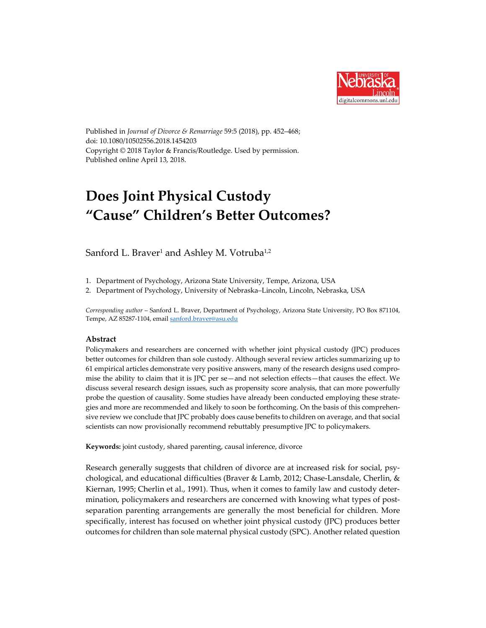

Published in *Journal of Divorce & Remarriage* 59:5 (2018), pp. 452–468; doi: 10.1080/10502556.2018.1454203 Copyright © 2018 Taylor & Francis/Routledge. Used by permission. Published online April 13, 2018.

# **Does Joint Physical Custody "Cause" Children's Better Outcomes?**

Sanford L. Braver<sup>1</sup> and Ashley M. Votruba<sup>1,2</sup>

- 1. Department of Psychology, Arizona State University, Tempe, Arizona, USA
- 2. Department of Psychology, University of Nebraska–Lincoln, Lincoln, Nebraska, USA

*Corresponding author* – Sanford L. Braver, Department of Psychology, Arizona State University, PO Box 871104, Tempe, AZ 85287-1104, emai[l sanford.braver@asu.edu](mailto:sanford.braver@asu.edu)

## **Abstract**

Policymakers and researchers are concerned with whether joint physical custody (JPC) produces better outcomes for children than sole custody. Although several review articles summarizing up to 61 empirical articles demonstrate very positive answers, many of the research designs used compromise the ability to claim that it is JPC per se—and not selection effects—that causes the effect. We discuss several research design issues, such as propensity score analysis, that can more powerfully probe the question of causality. Some studies have already been conducted employing these strategies and more are recommended and likely to soon be forthcoming. On the basis of this comprehensive review we conclude that JPC probably does cause benefits to children on average, and that social scientists can now provisionally recommend rebuttably presumptive JPC to policymakers.

**Keywords:** joint custody, shared parenting, causal inference, divorce

Research generally suggests that children of divorce are at increased risk for social, psychological, and educational difficulties (Braver & Lamb, 2012; Chase-Lansdale, Cherlin, & Kiernan, 1995; Cherlin et al., 1991). Thus, when it comes to family law and custody determination, policymakers and researchers are concerned with knowing what types of postseparation parenting arrangements are generally the most beneficial for children. More specifically, interest has focused on whether joint physical custody (JPC) produces better outcomes for children than sole maternal physical custody (SPC). Another related question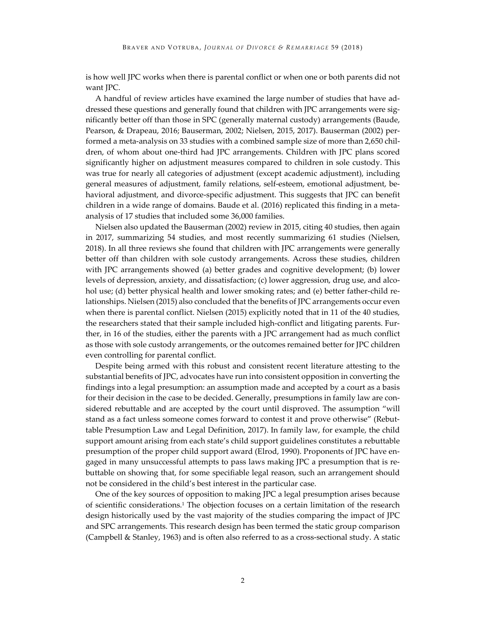is how well JPC works when there is parental conflict or when one or both parents did not want JPC.

A handful of review articles have examined the large number of studies that have addressed these questions and generally found that children with JPC arrangements were significantly better off than those in SPC (generally maternal custody) arrangements (Baude, Pearson, & Drapeau, 2016; Bauserman, 2002; Nielsen, 2015, 2017). Bauserman (2002) performed a meta-analysis on 33 studies with a combined sample size of more than 2,650 children, of whom about one-third had JPC arrangements. Children with JPC plans scored significantly higher on adjustment measures compared to children in sole custody. This was true for nearly all categories of adjustment (except academic adjustment), including general measures of adjustment, family relations, self-esteem, emotional adjustment, behavioral adjustment, and divorce-specific adjustment. This suggests that JPC can benefit children in a wide range of domains. Baude et al. (2016) replicated this finding in a metaanalysis of 17 studies that included some 36,000 families.

Nielsen also updated the Bauserman (2002) review in 2015, citing 40 studies, then again in 2017, summarizing 54 studies, and most recently summarizing 61 studies (Nielsen, 2018). In all three reviews she found that children with JPC arrangements were generally better off than children with sole custody arrangements. Across these studies, children with JPC arrangements showed (a) better grades and cognitive development; (b) lower levels of depression, anxiety, and dissatisfaction; (c) lower aggression, drug use, and alcohol use; (d) better physical health and lower smoking rates; and (e) better father-child relationships. Nielsen (2015) also concluded that the benefits of JPC arrangements occur even when there is parental conflict. Nielsen (2015) explicitly noted that in 11 of the 40 studies, the researchers stated that their sample included high-conflict and litigating parents. Further, in 16 of the studies, either the parents with a JPC arrangement had as much conflict as those with sole custody arrangements, or the outcomes remained better for JPC children even controlling for parental conflict.

Despite being armed with this robust and consistent recent literature attesting to the substantial benefits of JPC, advocates have run into consistent opposition in converting the findings into a legal presumption: an assumption made and accepted by a court as a basis for their decision in the case to be decided. Generally, presumptions in family law are considered rebuttable and are accepted by the court until disproved. The assumption "will stand as a fact unless someone comes forward to contest it and prove otherwise" (Rebuttable Presumption Law and Legal Definition, 2017). In family law, for example, the child support amount arising from each state's child support guidelines constitutes a rebuttable presumption of the proper child support award (Elrod, 1990). Proponents of JPC have engaged in many unsuccessful attempts to pass laws making JPC a presumption that is rebuttable on showing that, for some specifiable legal reason, such an arrangement should not be considered in the child's best interest in the particular case.

One of the key sources of opposition to making JPC a legal presumption arises because of scientific considerations.1 The objection focuses on a certain limitation of the research design historically used by the vast majority of the studies comparing the impact of JPC and SPC arrangements. This research design has been termed the static group comparison (Campbell & Stanley, 1963) and is often also referred to as a cross-sectional study. A static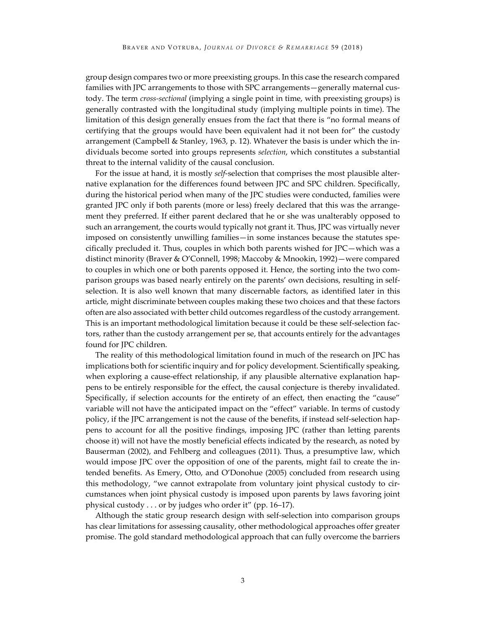group design compares two or more preexisting groups. In this case the research compared families with JPC arrangements to those with SPC arrangements—generally maternal custody. The term *cross-sectional* (implying a single point in time, with preexisting groups) is generally contrasted with the longitudinal study (implying multiple points in time). The limitation of this design generally ensues from the fact that there is "no formal means of certifying that the groups would have been equivalent had it not been for" the custody arrangement (Campbell & Stanley, 1963, p. 12). Whatever the basis is under which the individuals become sorted into groups represents *selection*, which constitutes a substantial threat to the internal validity of the causal conclusion.

For the issue at hand, it is mostly *self*-selection that comprises the most plausible alternative explanation for the differences found between JPC and SPC children. Specifically, during the historical period when many of the JPC studies were conducted, families were granted JPC only if both parents (more or less) freely declared that this was the arrangement they preferred. If either parent declared that he or she was unalterably opposed to such an arrangement, the courts would typically not grant it. Thus, JPC was virtually never imposed on consistently unwilling families—in some instances because the statutes specifically precluded it. Thus, couples in which both parents wished for JPC—which was a distinct minority (Braver & O'Connell, 1998; Maccoby & Mnookin, 1992)—were compared to couples in which one or both parents opposed it. Hence, the sorting into the two comparison groups was based nearly entirely on the parents' own decisions, resulting in selfselection. It is also well known that many discernable factors, as identified later in this article, might discriminate between couples making these two choices and that these factors often are also associated with better child outcomes regardless of the custody arrangement. This is an important methodological limitation because it could be these self-selection factors, rather than the custody arrangement per se, that accounts entirely for the advantages found for JPC children.

The reality of this methodological limitation found in much of the research on JPC has implications both for scientific inquiry and for policy development. Scientifically speaking, when exploring a cause-effect relationship, if any plausible alternative explanation happens to be entirely responsible for the effect, the causal conjecture is thereby invalidated. Specifically, if selection accounts for the entirety of an effect, then enacting the "cause" variable will not have the anticipated impact on the "effect" variable. In terms of custody policy, if the JPC arrangement is not the cause of the benefits, if instead self-selection happens to account for all the positive findings, imposing JPC (rather than letting parents choose it) will not have the mostly beneficial effects indicated by the research, as noted by Bauserman (2002), and Fehlberg and colleagues (2011). Thus, a presumptive law, which would impose JPC over the opposition of one of the parents, might fail to create the intended benefits. As Emery, Otto, and O'Donohue (2005) concluded from research using this methodology, "we cannot extrapolate from voluntary joint physical custody to circumstances when joint physical custody is imposed upon parents by laws favoring joint physical custody . . . or by judges who order it" (pp. 16–17).

Although the static group research design with self-selection into comparison groups has clear limitations for assessing causality, other methodological approaches offer greater promise. The gold standard methodological approach that can fully overcome the barriers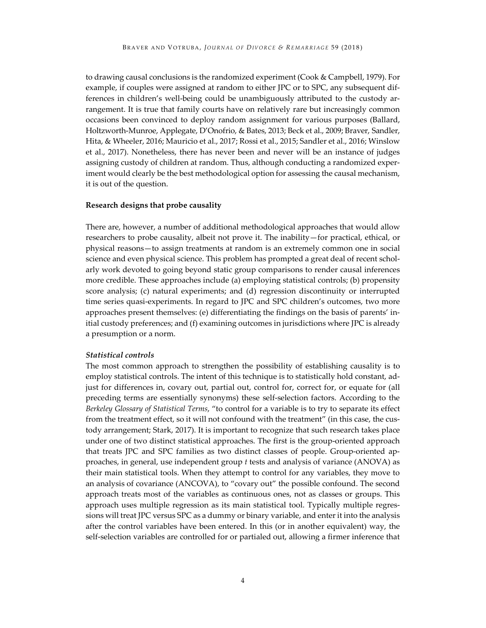to drawing causal conclusions is the randomized experiment (Cook & Campbell, 1979). For example, if couples were assigned at random to either JPC or to SPC, any subsequent differences in children's well-being could be unambiguously attributed to the custody arrangement. It is true that family courts have on relatively rare but increasingly common occasions been convinced to deploy random assignment for various purposes (Ballard, Holtzworth-Munroe, Applegate, D'Onofrio, & Bates, 2013; Beck et al., 2009; Braver, Sandler, Hita, & Wheeler, 2016; Mauricio et al., 2017; Rossi et al., 2015; Sandler et al., 2016; Winslow et al., 2017). Nonetheless, there has never been and never will be an instance of judges assigning custody of children at random. Thus, although conducting a randomized experiment would clearly be the best methodological option for assessing the causal mechanism, it is out of the question.

#### **Research designs that probe causality**

There are, however, a number of additional methodological approaches that would allow researchers to probe causality, albeit not prove it. The inability—for practical, ethical, or physical reasons—to assign treatments at random is an extremely common one in social science and even physical science. This problem has prompted a great deal of recent scholarly work devoted to going beyond static group comparisons to render causal inferences more credible. These approaches include (a) employing statistical controls; (b) propensity score analysis; (c) natural experiments; and (d) regression discontinuity or interrupted time series quasi-experiments. In regard to JPC and SPC children's outcomes, two more approaches present themselves: (e) differentiating the findings on the basis of parents' initial custody preferences; and (f) examining outcomes in jurisdictions where JPC is already a presumption or a norm.

#### *Statistical controls*

The most common approach to strengthen the possibility of establishing causality is to employ statistical controls. The intent of this technique is to statistically hold constant, adjust for differences in, covary out, partial out, control for, correct for, or equate for (all preceding terms are essentially synonyms) these self-selection factors. According to the *Berkeley Glossary of Statistical Terms*, "to control for a variable is to try to separate its effect from the treatment effect, so it will not confound with the treatment" (in this case, the custody arrangement; Stark, 2017). It is important to recognize that such research takes place under one of two distinct statistical approaches. The first is the group-oriented approach that treats JPC and SPC families as two distinct classes of people. Group-oriented approaches, in general, use independent group *t* tests and analysis of variance (ANOVA) as their main statistical tools. When they attempt to control for any variables, they move to an analysis of covariance (ANCOVA), to "covary out" the possible confound. The second approach treats most of the variables as continuous ones, not as classes or groups. This approach uses multiple regression as its main statistical tool. Typically multiple regressions will treat JPC versus SPC as a dummy or binary variable, and enter it into the analysis after the control variables have been entered. In this (or in another equivalent) way, the self-selection variables are controlled for or partialed out, allowing a firmer inference that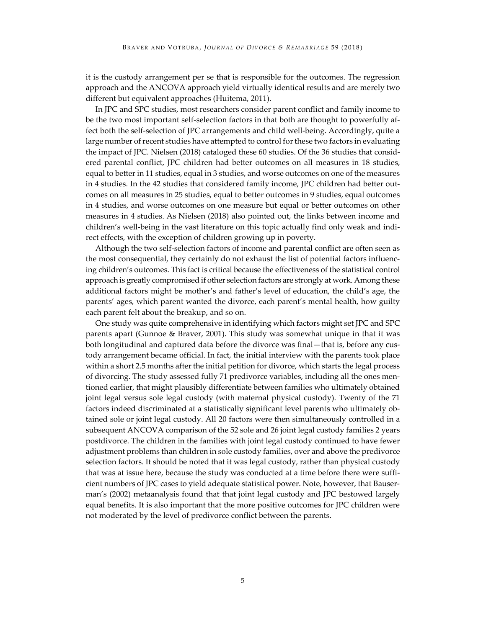it is the custody arrangement per se that is responsible for the outcomes. The regression approach and the ANCOVA approach yield virtually identical results and are merely two different but equivalent approaches (Huitema, 2011).

In JPC and SPC studies, most researchers consider parent conflict and family income to be the two most important self-selection factors in that both are thought to powerfully affect both the self-selection of JPC arrangements and child well-being. Accordingly, quite a large number of recent studies have attempted to control for these two factors in evaluating the impact of JPC. Nielsen (2018) cataloged these 60 studies. Of the 36 studies that considered parental conflict, JPC children had better outcomes on all measures in 18 studies, equal to better in 11 studies, equal in 3 studies, and worse outcomes on one of the measures in 4 studies. In the 42 studies that considered family income, JPC children had better outcomes on all measures in 25 studies, equal to better outcomes in 9 studies, equal outcomes in 4 studies, and worse outcomes on one measure but equal or better outcomes on other measures in 4 studies. As Nielsen (2018) also pointed out, the links between income and children's well-being in the vast literature on this topic actually find only weak and indirect effects, with the exception of children growing up in poverty.

Although the two self-selection factors of income and parental conflict are often seen as the most consequential, they certainly do not exhaust the list of potential factors influencing children's outcomes. This fact is critical because the effectiveness of the statistical control approach is greatly compromised if other selection factors are strongly at work. Among these additional factors might be mother's and father's level of education, the child's age, the parents' ages, which parent wanted the divorce, each parent's mental health, how guilty each parent felt about the breakup, and so on.

One study was quite comprehensive in identifying which factors might set JPC and SPC parents apart (Gunnoe & Braver, 2001). This study was somewhat unique in that it was both longitudinal and captured data before the divorce was final—that is, before any custody arrangement became official. In fact, the initial interview with the parents took place within a short 2.5 months after the initial petition for divorce, which starts the legal process of divorcing. The study assessed fully 71 predivorce variables, including all the ones mentioned earlier, that might plausibly differentiate between families who ultimately obtained joint legal versus sole legal custody (with maternal physical custody). Twenty of the 71 factors indeed discriminated at a statistically significant level parents who ultimately obtained sole or joint legal custody. All 20 factors were then simultaneously controlled in a subsequent ANCOVA comparison of the 52 sole and 26 joint legal custody families 2 years postdivorce. The children in the families with joint legal custody continued to have fewer adjustment problems than children in sole custody families, over and above the predivorce selection factors. It should be noted that it was legal custody, rather than physical custody that was at issue here, because the study was conducted at a time before there were sufficient numbers of JPC cases to yield adequate statistical power. Note, however, that Bauserman's (2002) metaanalysis found that that joint legal custody and JPC bestowed largely equal benefits. It is also important that the more positive outcomes for JPC children were not moderated by the level of predivorce conflict between the parents.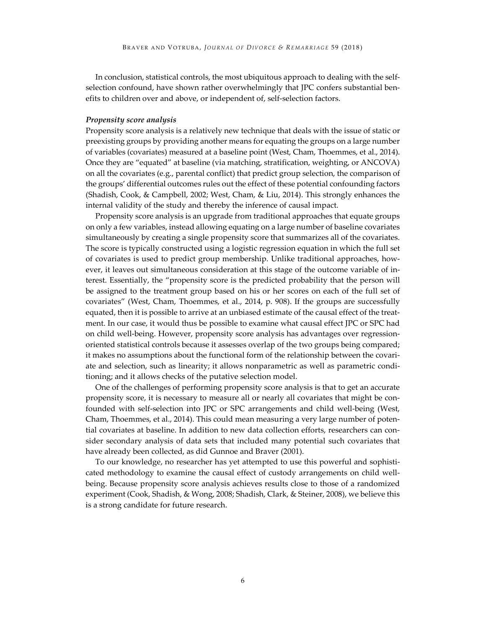In conclusion, statistical controls, the most ubiquitous approach to dealing with the selfselection confound, have shown rather overwhelmingly that JPC confers substantial benefits to children over and above, or independent of, self-selection factors.

#### *Propensity score analysis*

Propensity score analysis is a relatively new technique that deals with the issue of static or preexisting groups by providing another means for equating the groups on a large number of variables (covariates) measured at a baseline point (West, Cham, Thoemmes, et al., 2014). Once they are "equated" at baseline (via matching, stratification, weighting, or ANCOVA) on all the covariates (e.g., parental conflict) that predict group selection, the comparison of the groups' differential outcomes rules out the effect of these potential confounding factors (Shadish, Cook, & Campbell, 2002; West, Cham, & Liu, 2014). This strongly enhances the internal validity of the study and thereby the inference of causal impact.

Propensity score analysis is an upgrade from traditional approaches that equate groups on only a few variables, instead allowing equating on a large number of baseline covariates simultaneously by creating a single propensity score that summarizes all of the covariates. The score is typically constructed using a logistic regression equation in which the full set of covariates is used to predict group membership. Unlike traditional approaches, however, it leaves out simultaneous consideration at this stage of the outcome variable of interest. Essentially, the "propensity score is the predicted probability that the person will be assigned to the treatment group based on his or her scores on each of the full set of covariates" (West, Cham, Thoemmes, et al., 2014, p. 908). If the groups are successfully equated, then it is possible to arrive at an unbiased estimate of the causal effect of the treatment. In our case, it would thus be possible to examine what causal effect JPC or SPC had on child well-being. However, propensity score analysis has advantages over regressionoriented statistical controls because it assesses overlap of the two groups being compared; it makes no assumptions about the functional form of the relationship between the covariate and selection, such as linearity; it allows nonparametric as well as parametric conditioning; and it allows checks of the putative selection model.

One of the challenges of performing propensity score analysis is that to get an accurate propensity score, it is necessary to measure all or nearly all covariates that might be confounded with self-selection into JPC or SPC arrangements and child well-being (West, Cham, Thoemmes, et al., 2014). This could mean measuring a very large number of potential covariates at baseline. In addition to new data collection efforts, researchers can consider secondary analysis of data sets that included many potential such covariates that have already been collected, as did Gunnoe and Braver (2001).

To our knowledge, no researcher has yet attempted to use this powerful and sophisticated methodology to examine the causal effect of custody arrangements on child wellbeing. Because propensity score analysis achieves results close to those of a randomized experiment (Cook, Shadish, & Wong, 2008; Shadish, Clark, & Steiner, 2008), we believe this is a strong candidate for future research.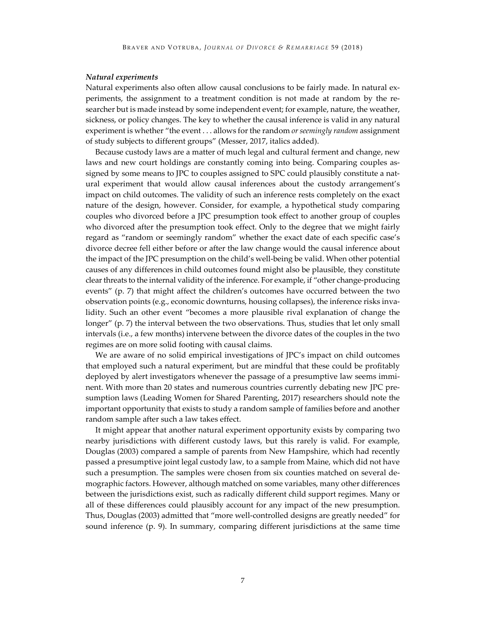#### *Natural experiments*

Natural experiments also often allow causal conclusions to be fairly made. In natural experiments, the assignment to a treatment condition is not made at random by the researcher but is made instead by some independent event; for example, nature, the weather, sickness, or policy changes. The key to whether the causal inference is valid in any natural experiment is whether "the event . . . allows for the random *or seemingly random* assignment of study subjects to different groups" (Messer, 2017, italics added).

Because custody laws are a matter of much legal and cultural ferment and change, new laws and new court holdings are constantly coming into being. Comparing couples assigned by some means to JPC to couples assigned to SPC could plausibly constitute a natural experiment that would allow causal inferences about the custody arrangement's impact on child outcomes. The validity of such an inference rests completely on the exact nature of the design, however. Consider, for example, a hypothetical study comparing couples who divorced before a JPC presumption took effect to another group of couples who divorced after the presumption took effect. Only to the degree that we might fairly regard as "random or seemingly random" whether the exact date of each specific case's divorce decree fell either before or after the law change would the causal inference about the impact of the JPC presumption on the child's well-being be valid. When other potential causes of any differences in child outcomes found might also be plausible, they constitute clear threats to the internal validity of the inference. For example, if "other change-producing events" (p. 7) that might affect the children's outcomes have occurred between the two observation points (e.g., economic downturns, housing collapses), the inference risks invalidity. Such an other event "becomes a more plausible rival explanation of change the longer" (p. 7) the interval between the two observations. Thus, studies that let only small intervals (i.e., a few months) intervene between the divorce dates of the couples in the two regimes are on more solid footing with causal claims.

We are aware of no solid empirical investigations of JPC's impact on child outcomes that employed such a natural experiment, but are mindful that these could be profitably deployed by alert investigators whenever the passage of a presumptive law seems imminent. With more than 20 states and numerous countries currently debating new JPC presumption laws (Leading Women for Shared Parenting, 2017) researchers should note the important opportunity that exists to study a random sample of families before and another random sample after such a law takes effect.

It might appear that another natural experiment opportunity exists by comparing two nearby jurisdictions with different custody laws, but this rarely is valid. For example, Douglas (2003) compared a sample of parents from New Hampshire, which had recently passed a presumptive joint legal custody law, to a sample from Maine, which did not have such a presumption. The samples were chosen from six counties matched on several demographic factors. However, although matched on some variables, many other differences between the jurisdictions exist, such as radically different child support regimes. Many or all of these differences could plausibly account for any impact of the new presumption. Thus, Douglas (2003) admitted that "more well-controlled designs are greatly needed" for sound inference (p. 9). In summary, comparing different jurisdictions at the same time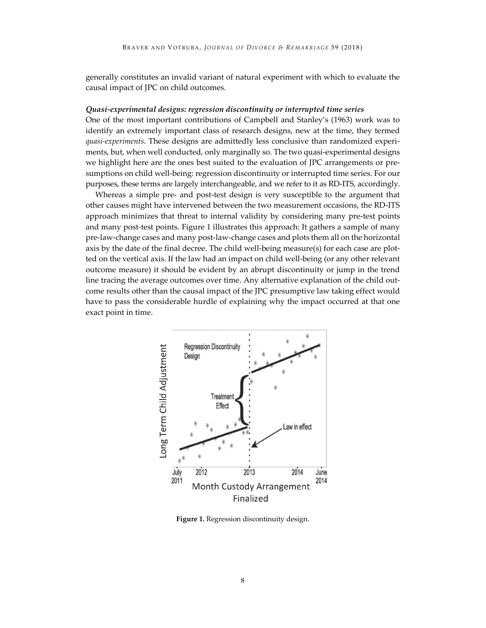generally constitutes an invalid variant of natural experiment with which to evaluate the causal impact of JPC on child outcomes.

### *Quasi-experimental designs: regression discontinuity or interrupted time series*

One of the most important contributions of Campbell and Stanley's (1963) work was to identify an extremely important class of research designs, new at the time, they termed *quasi-experiments*. These designs are admittedly less conclusive than randomized experiments, but, when well conducted, only marginally so. The two quasi-experimental designs we highlight here are the ones best suited to the evaluation of JPC arrangements or presumptions on child well-being: regression discontinuity or interrupted time series. For our purposes, these terms are largely interchangeable, and we refer to it as RD-ITS, accordingly.

Whereas a simple pre- and post-test design is very susceptible to the argument that other causes might have intervened between the two measurement occasions, the RD-ITS approach minimizes that threat to internal validity by considering many pre-test points and many post-test points. Figure 1 illustrates this approach: It gathers a sample of many pre-law-change cases and many post-law-change cases and plots them all on the horizontal axis by the date of the final decree. The child well-being measure(s) for each case are plotted on the vertical axis. If the law had an impact on child well-being (or any other relevant outcome measure) it should be evident by an abrupt discontinuity or jump in the trend line tracing the average outcomes over time. Any alternative explanation of the child outcome results other than the causal impact of the JPC presumptive law taking effect would have to pass the considerable hurdle of explaining why the impact occurred at that one exact point in time.



**Figure 1.** Regression discontinuity design.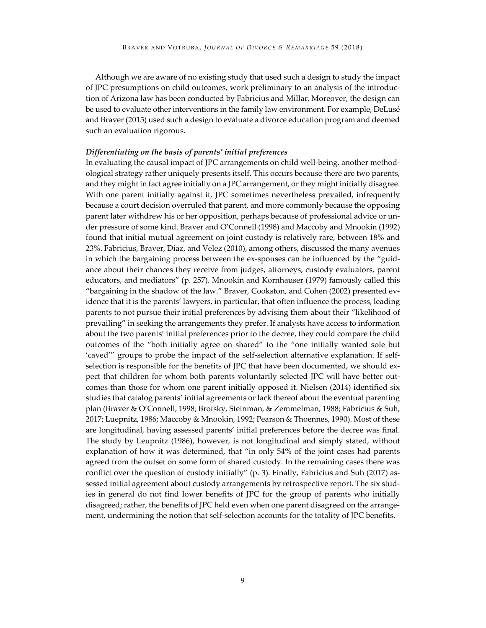Although we are aware of no existing study that used such a design to study the impact of JPC presumptions on child outcomes, work preliminary to an analysis of the introduction of Arizona law has been conducted by Fabricius and Millar. Moreover, the design can be used to evaluate other interventions in the family law environment. For example, DeLusé and Braver (2015) used such a design to evaluate a divorce education program and deemed such an evaluation rigorous.

#### *Differentiating on the basis of parents' initial preferences*

In evaluating the causal impact of JPC arrangements on child well-being, another methodological strategy rather uniquely presents itself. This occurs because there are two parents, and they might in fact agree initially on a JPC arrangement, or they might initially disagree. With one parent initially against it, JPC sometimes nevertheless prevailed, infrequently because a court decision overruled that parent, and more commonly because the opposing parent later withdrew his or her opposition, perhaps because of professional advice or under pressure of some kind. Braver and O'Connell (1998) and Maccoby and Mnookin (1992) found that initial mutual agreement on joint custody is relatively rare, between 18% and 23%. Fabricius, Braver, Diaz, and Velez (2010), among others, discussed the many avenues in which the bargaining process between the ex-spouses can be influenced by the "guidance about their chances they receive from judges, attorneys, custody evaluators, parent educators, and mediators" (p. 257). Mnookin and Kornhauser (1979) famously called this "bargaining in the shadow of the law." Braver, Cookston, and Cohen (2002) presented evidence that it is the parents' lawyers, in particular, that often influence the process, leading parents to not pursue their initial preferences by advising them about their "likelihood of prevailing" in seeking the arrangements they prefer. If analysts have access to information about the two parents' initial preferences prior to the decree, they could compare the child outcomes of the "both initially agree on shared" to the "one initially wanted sole but 'caved'" groups to probe the impact of the self-selection alternative explanation. If selfselection is responsible for the benefits of JPC that have been documented, we should expect that children for whom both parents voluntarily selected JPC will have better outcomes than those for whom one parent initially opposed it. Nielsen (2014) identified six studies that catalog parents' initial agreements or lack thereof about the eventual parenting plan (Braver & O'Connell, 1998; Brotsky, Steinman, & Zemmelman, 1988; Fabricius & Suh, 2017; Luepnitz, 1986; Maccoby & Mnookin, 1992; Pearson & Thoennes, 1990). Most of these are longitudinal, having assessed parents' initial preferences before the decree was final. The study by Leupnitz (1986), however, is not longitudinal and simply stated, without explanation of how it was determined, that "in only 54% of the joint cases had parents agreed from the outset on some form of shared custody. In the remaining cases there was conflict over the question of custody initially" (p. 3). Finally, Fabricius and Suh (2017) assessed initial agreement about custody arrangements by retrospective report. The six studies in general do not find lower benefits of JPC for the group of parents who initially disagreed; rather, the benefits of JPC held even when one parent disagreed on the arrangement, undermining the notion that self-selection accounts for the totality of JPC benefits.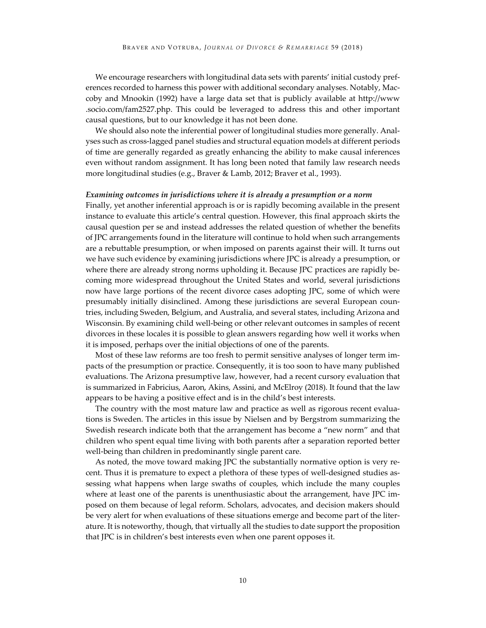We encourage researchers with longitudinal data sets with parents' initial custody preferences recorded to harness this power with additional secondary analyses. Notably, Maccoby and Mnookin (1992) have a large data set that is publicly available at http://www .socio.com/fam2527.php. This could be leveraged to address this and other important causal questions, but to our knowledge it has not been done.

We should also note the inferential power of longitudinal studies more generally. Analyses such as cross-lagged panel studies and structural equation models at different periods of time are generally regarded as greatly enhancing the ability to make causal inferences even without random assignment. It has long been noted that family law research needs more longitudinal studies (e.g., Braver & Lamb, 2012; Braver et al., 1993).

#### *Examining outcomes in jurisdictions where it is already a presumption or a norm*

Finally, yet another inferential approach is or is rapidly becoming available in the present instance to evaluate this article's central question. However, this final approach skirts the causal question per se and instead addresses the related question of whether the benefits of JPC arrangements found in the literature will continue to hold when such arrangements are a rebuttable presumption, or when imposed on parents against their will. It turns out we have such evidence by examining jurisdictions where JPC is already a presumption, or where there are already strong norms upholding it. Because JPC practices are rapidly becoming more widespread throughout the United States and world, several jurisdictions now have large portions of the recent divorce cases adopting JPC, some of which were presumably initially disinclined. Among these jurisdictions are several European countries, including Sweden, Belgium, and Australia, and several states, including Arizona and Wisconsin. By examining child well-being or other relevant outcomes in samples of recent divorces in these locales it is possible to glean answers regarding how well it works when it is imposed, perhaps over the initial objections of one of the parents.

Most of these law reforms are too fresh to permit sensitive analyses of longer term impacts of the presumption or practice. Consequently, it is too soon to have many published evaluations. The Arizona presumptive law, however, had a recent cursory evaluation that is summarized in Fabricius, Aaron, Akins, Assini, and McElroy (2018). It found that the law appears to be having a positive effect and is in the child's best interests.

The country with the most mature law and practice as well as rigorous recent evaluations is Sweden. The articles in this issue by Nielsen and by Bergstrom summarizing the Swedish research indicate both that the arrangement has become a "new norm" and that children who spent equal time living with both parents after a separation reported better well-being than children in predominantly single parent care.

As noted, the move toward making JPC the substantially normative option is very recent. Thus it is premature to expect a plethora of these types of well-designed studies assessing what happens when large swaths of couples, which include the many couples where at least one of the parents is unenthusiastic about the arrangement, have JPC imposed on them because of legal reform. Scholars, advocates, and decision makers should be very alert for when evaluations of these situations emerge and become part of the literature. It is noteworthy, though, that virtually all the studies to date support the proposition that JPC is in children's best interests even when one parent opposes it.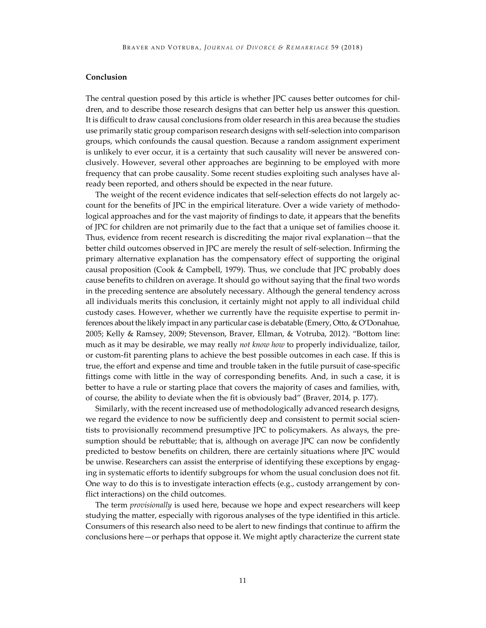### **Conclusion**

The central question posed by this article is whether JPC causes better outcomes for children, and to describe those research designs that can better help us answer this question. It is difficult to draw causal conclusions from olderresearch in this area because the studies use primarily static group comparison research designs with self-selection into comparison groups, which confounds the causal question. Because a random assignment experiment is unlikely to ever occur, it is a certainty that such causality will never be answered conclusively. However, several other approaches are beginning to be employed with more frequency that can probe causality. Some recent studies exploiting such analyses have already been reported, and others should be expected in the near future.

The weight of the recent evidence indicates that self-selection effects do not largely account for the benefits of JPC in the empirical literature. Over a wide variety of methodological approaches and for the vast majority of findings to date, it appears that the benefits of JPC for children are not primarily due to the fact that a unique set of families choose it. Thus, evidence from recent research is discrediting the major rival explanation—that the better child outcomes observed in JPC are merely the result of self-selection. Infirming the primary alternative explanation has the compensatory effect of supporting the original causal proposition (Cook & Campbell, 1979). Thus, we conclude that JPC probably does cause benefits to children on average. It should go without saying that the final two words in the preceding sentence are absolutely necessary. Although the general tendency across all individuals merits this conclusion, it certainly might not apply to all individual child custody cases. However, whether we currently have the requisite expertise to permit inferences about the likely impact in any particular case is debatable (Emery, Otto, & O'Donahue, 2005; Kelly & Ramsey, 2009; Stevenson, Braver, Ellman, & Votruba, 2012). "Bottom line: much as it may be desirable, we may really *not know how* to properly individualize, tailor, or custom-fit parenting plans to achieve the best possible outcomes in each case. If this is true, the effort and expense and time and trouble taken in the futile pursuit of case-specific fittings come with little in the way of corresponding benefits. And, in such a case, it is better to have a rule or starting place that covers the majority of cases and families, with, of course, the ability to deviate when the fit is obviously bad" (Braver, 2014, p. 177).

Similarly, with the recent increased use of methodologically advanced research designs, we regard the evidence to now be sufficiently deep and consistent to permit social scientists to provisionally recommend presumptive JPC to policymakers. As always, the presumption should be rebuttable; that is, although on average JPC can now be confidently predicted to bestow benefits on children, there are certainly situations where JPC would be unwise. Researchers can assist the enterprise of identifying these exceptions by engaging in systematic efforts to identify subgroups for whom the usual conclusion does not fit. One way to do this is to investigate interaction effects (e.g., custody arrangement by conflict interactions) on the child outcomes.

The term *provisionally* is used here, because we hope and expect researchers will keep studying the matter, especially with rigorous analyses of the type identified in this article. Consumers of this research also need to be alert to new findings that continue to affirm the conclusions here—or perhaps that oppose it. We might aptly characterize the current state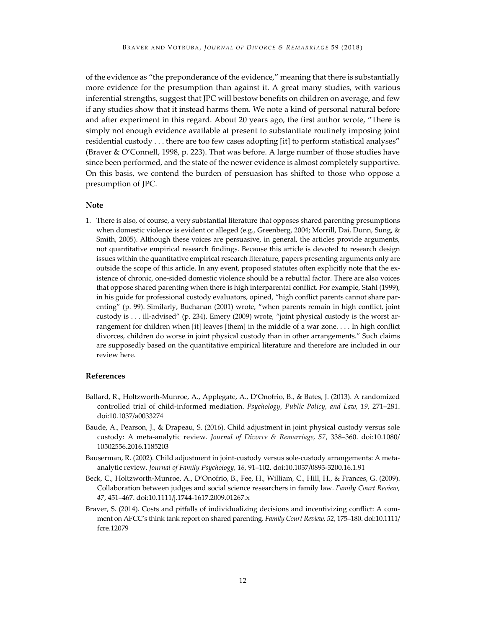of the evidence as "the preponderance of the evidence," meaning that there is substantially more evidence for the presumption than against it. A great many studies, with various inferential strengths, suggest that JPC will bestow benefits on children on average, and few if any studies show that it instead harms them. We note a kind of personal natural before and after experiment in this regard. About 20 years ago, the first author wrote, "There is simply not enough evidence available at present to substantiate routinely imposing joint residential custody . . . there are too few cases adopting [it] to perform statistical analyses" (Braver & O'Connell, 1998, p. 223). That was before. A large number of those studies have since been performed, and the state of the newer evidence is almost completely supportive. On this basis, we contend the burden of persuasion has shifted to those who oppose a presumption of JPC.

## **Note**

1. There is also, of course, a very substantial literature that opposes shared parenting presumptions when domestic violence is evident or alleged (e.g., Greenberg, 2004; Morrill, Dai, Dunn, Sung, & Smith, 2005). Although these voices are persuasive, in general, the articles provide arguments, not quantitative empirical research findings. Because this article is devoted to research design issues within the quantitative empirical research literature, papers presenting arguments only are outside the scope of this article. In any event, proposed statutes often explicitly note that the existence of chronic, one-sided domestic violence should be a rebuttal factor. There are also voices that oppose shared parenting when there is high interparental conflict. For example, Stahl (1999), in his guide for professional custody evaluators, opined, "high conflict parents cannot share parenting" (p. 99). Similarly, Buchanan (2001) wrote, "when parents remain in high conflict, joint custody is . . . ill-advised" (p. 234). Emery (2009) wrote, "joint physical custody is the worst arrangement for children when [it] leaves [them] in the middle of a war zone. . . . In high conflict divorces, children do worse in joint physical custody than in other arrangements." Such claims are supposedly based on the quantitative empirical literature and therefore are included in our review here.

#### **References**

- Ballard, R., Holtzworth-Munroe, A., Applegate, A., D'Onofrio, B., & Bates, J. (2013). A randomized controlled trial of child-informed mediation. *Psychology, Public Policy, and Law, 19*, 271–281. doi:10.1037/a0033274
- Baude, A., Pearson, J., & Drapeau, S. (2016). Child adjustment in joint physical custody versus sole custody: A meta-analytic review. *Journal of Divorce & Remarriage, 57*, 338–360. doi:10.1080/ 10502556.2016.1185203
- Bauserman, R. (2002). Child adjustment in joint-custody versus sole-custody arrangements: A metaanalytic review. *Journal of Family Psychology, 16*, 91–102. doi:10.1037/0893-3200.16.1.91
- Beck, C., Holtzworth-Munroe, A., D'Onofrio, B., Fee, H., William, C., Hill, H., & Frances, G. (2009). Collaboration between judges and social science researchers in family law. *Family Court Review, 47*, 451–467. doi:10.1111/j.1744-1617.2009.01267.x
- Braver, S. (2014). Costs and pitfalls of individualizing decisions and incentivizing conflict: A comment on AFCC's think tank report on shared parenting. *Family Court Review, 52*, 175–180. doi:10.1111/ fcre.12079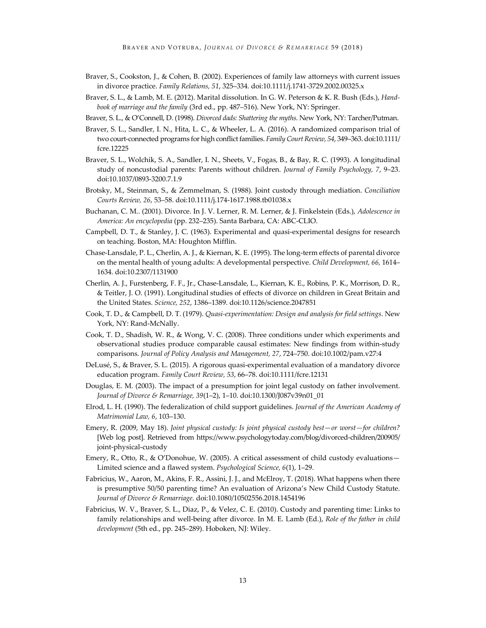- Braver, S., Cookston, J., & Cohen, B. (2002). Experiences of family law attorneys with current issues in divorce practice. *Family Relations, 51*, 325–334. doi:10.1111/j.1741-3729.2002.00325.x
- Braver, S. L., & Lamb, M. E. (2012). Marital dissolution. In G. W. Peterson & K. R. Bush (Eds.), *Handbook of marriage and the family* (3rd ed., pp. 487–516). New York, NY: Springer.
- Braver, S. L., & O'Connell, D. (1998). *Divorced dads: Shattering the myths*. New York, NY: Tarcher/Putman.
- Braver, S. L., Sandler, I. N., Hita, L. C., & Wheeler, L. A. (2016). A randomized comparison trial of two court-connected programs for high conflict families. *Family Court Review, 54*, 349–363. doi:10.1111/ fcre.12225
- Braver, S. L., Wolchik, S. A., Sandler, I. N., Sheets, V., Fogas, B., & Bay, R. C. (1993). A longitudinal study of noncustodial parents: Parents without children. *Journal of Family Psychology, 7*, 9–23. doi:10.1037/0893-3200.7.1.9
- Brotsky, M., Steinman, S., & Zemmelman, S. (1988). Joint custody through mediation. *Conciliation Courts Review, 26*, 53–58. doi:10.1111/j.174-1617.1988.tb01038.x
- Buchanan, C. M.. (2001). Divorce. In J. V. Lerner, R. M. Lerner, & J. Finkelstein (Eds.), *Adolescence in America: An encyclopedia* (pp. 232–235). Santa Barbara, CA: ABC-CLIO.
- Campbell, D. T., & Stanley, J. C. (1963). Experimental and quasi-experimental designs for research on teaching. Boston, MA: Houghton Mifflin.
- Chase-Lansdale, P. L., Cherlin, A. J., & Kiernan, K. E. (1995). The long-term effects of parental divorce on the mental health of young adults: A developmental perspective. *Child Development, 66,* 1614– 1634. doi:10.2307/1131900
- Cherlin, A. J., Furstenberg, F. F., Jr., Chase-Lansdale, L., Kiernan, K. E., Robins, P. K., Morrison, D. R., & Teitler, J. O. (1991). Longitudinal studies of effects of divorce on children in Great Britain and the United States. *Science, 252*, 1386–1389. doi:10.1126/science.2047851
- Cook, T. D., & Campbell, D. T. (1979). *Quasi-experimentation: Design and analysis for field settings*. New York, NY: Rand-McNally.
- Cook, T. D., Shadish, W. R., & Wong, V. C. (2008). Three conditions under which experiments and observational studies produce comparable causal estimates: New findings from within-study comparisons. *Journal of Policy Analysis and Management, 27*, 724–750. doi:10.1002/pam.v27:4
- DeLusé, S., & Braver, S. L. (2015). A rigorous quasi-experimental evaluation of a mandatory divorce education program. *Family Court Review, 53*, 66–78. doi:10.1111/fcre.12131
- Douglas, E. M. (2003). The impact of a presumption for joint legal custody on father involvement. *Journal of Divorce & Remarriage, 39*(1–2), 1–10. doi:10.1300/J087v39n01\_01
- Elrod, L. H. (1990). The federalization of child support guidelines. *Journal of the American Academy of Matrimonial Law, 6*, 103–130.
- Emery, R. (2009, May 18). *Joint physical custody: Is joint physical custody best—or worst—for children?* [Web log post]. Retrieved from https://www.psychologytoday.com/blog/divorced-children/200905/ joint-physical-custody
- Emery, R., Otto, R., & O'Donohue, W. (2005). A critical assessment of child custody evaluations— Limited science and a flawed system. *Psychological Science, 6*(1), 1–29.
- Fabricius, W., Aaron, M., Akins, F. R., Assini, J. J., and McElroy, T. (2018). What happens when there is presumptive 50/50 parenting time? An evaluation of Arizona's New Child Custody Statute. *Journal of Divorce & Remarriage*. doi:10.1080/10502556.2018.1454196
- Fabricius, W. V., Braver, S. L., Diaz, P., & Velez, C. E. (2010). Custody and parenting time: Links to family relationships and well-being after divorce. In M. E. Lamb (Ed.), *Role of the father in child development* (5th ed., pp. 245–289). Hoboken, NJ: Wiley.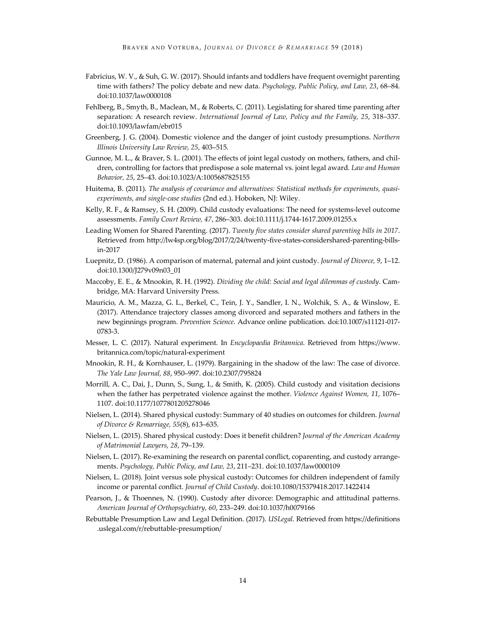- Fabricius, W. V., & Suh, G. W. (2017). Should infants and toddlers have frequent overnight parenting time with fathers? The policy debate and new data. *Psychology, Public Policy, and Law, 23*, 68–84. doi:10.1037/law0000108
- Fehlberg, B., Smyth, B., Maclean, M., & Roberts, C. (2011). Legislating for shared time parenting after separation: A research review. *International Journal of Law, Policy and the Family, 25*, 318–337. doi:10.1093/lawfam/ebr015
- Greenberg, J. G. (2004). Domestic violence and the danger of joint custody presumptions. *Northern Illinois University Law Review, 25*, 403–515.
- Gunnoe, M. L., & Braver, S. L. (2001). The effects of joint legal custody on mothers, fathers, and children, controlling for factors that predispose a sole maternal vs. joint legal award. *Law and Human Behavior, 25*, 25–43. doi:10.1023/A:1005687825155
- Huitema, B. (2011). *The analysis of covariance and alternatives: Statistical methods for experiments, quasiexperiments, and single-case studies* (2nd ed.). Hoboken, NJ: Wiley.
- Kelly, R. F., & Ramsey, S. H. (2009). Child custody evaluations: The need for systems-level outcome assessments. *Family Court Review, 47*, 286–303. doi:10.1111/j.1744-1617.2009.01255.x
- Leading Women for Shared Parenting. (2017). *Twenty five states consider shared parenting bills in 2017*. Retrieved from http://lw4sp.org/blog/2017/2/24/twenty-five-states-considershared-parenting-billsin-2017
- Luepnitz, D. (1986). A comparison of maternal, paternal and joint custody. *Journal of Divorce, 9*, 1–12. doi:10.1300/J279v09n03\_01
- Maccoby, E. E., & Mnookin, R. H. (1992). *Dividing the child: Social and legal dilemmas of custody*. Cambridge, MA: Harvard University Press.
- Mauricio, A. M., Mazza, G. L., Berkel, C., Tein, J. Y., Sandler, I. N., Wolchik, S. A., & Winslow, E. (2017). Attendance trajectory classes among divorced and separated mothers and fathers in the new beginnings program. *Prevention Science*. Advance online publication. doi:10.1007/s11121-017- 0783-3.
- Messer, L. C. (2017). Natural experiment. In *Encyclopaedia Britannica*. Retrieved from https://www. britannica.com/topic/natural-experiment
- Mnookin, R. H., & Kornhauser, L. (1979). Bargaining in the shadow of the law: The case of divorce. *The Yale Law Journal, 88*, 950–997. doi:10.2307/795824
- Morrill, A. C., Dai, J., Dunn, S., Sung, I., & Smith, K. (2005). Child custody and visitation decisions when the father has perpetrated violence against the mother. *Violence Against Women, 11*, 1076– 1107. doi:10.1177/1077801205278046
- Nielsen, L. (2014). Shared physical custody: Summary of 40 studies on outcomes for children. *Journal of Divorce & Remarriage, 55*(8), 613–635.
- Nielsen, L. (2015). Shared physical custody: Does it benefit children? *Journal of the American Academy of Matrimonial Lawyers, 28*, 79–139.
- Nielsen, L. (2017). Re-examining the research on parental conflict, coparenting, and custody arrangements. *Psychology, Public Policy, and Law, 23*, 211–231. doi:10.1037/law0000109
- Nielsen, L. (2018). Joint versus sole physical custody: Outcomes for children independent of family income or parental conflict. *Journal of Child Custody*. doi:10.1080/15379418.2017.1422414
- Pearson, J., & Thoennes, N. (1990). Custody after divorce: Demographic and attitudinal patterns. *American Journal of Orthopsychiatry, 60*, 233–249. doi:10.1037/h0079166
- Rebuttable Presumption Law and Legal Definition. (2017). *USLegal*. Retrieved from https://definitions .uslegal.com/r/rebuttable-presumption/